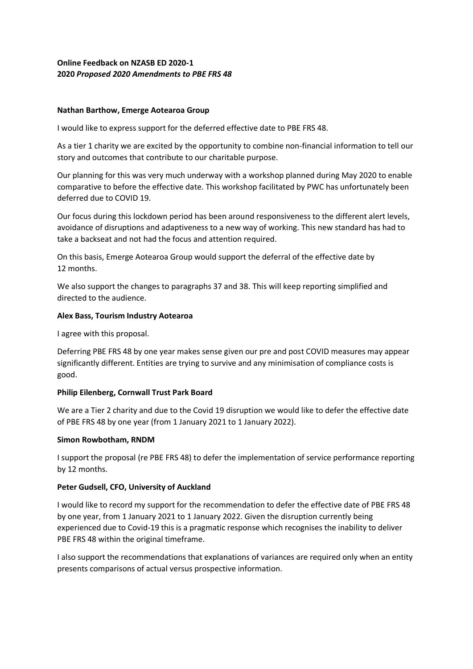# **Online Feedback on NZASB ED 2020-1 2020** *Proposed 2020 Amendments to PBE FRS 48*

### **Nathan Barthow, Emerge Aotearoa Group**

I would like to express support for the deferred effective date to PBE FRS 48.

As a tier 1 charity we are excited by the opportunity to combine non-financial information to tell our story and outcomes that contribute to our charitable purpose.

Our planning for this was very much underway with a workshop planned during May 2020 to enable comparative to before the effective date. This workshop facilitated by PWC has unfortunately been deferred due to COVID 19.

Our focus during this lockdown period has been around responsiveness to the different alert levels, avoidance of disruptions and adaptiveness to a new way of working. This new standard has had to take a backseat and not had the focus and attention required.

On this basis, Emerge Aotearoa Group would support the deferral of the effective date by 12 months.

We also support the changes to paragraphs 37 and 38. This will keep reporting simplified and directed to the audience.

### **Alex Bass, Tourism Industry Aotearoa**

I agree with this proposal.

Deferring PBE FRS 48 by one year makes sense given our pre and post COVID measures may appear significantly different. Entities are trying to survive and any minimisation of compliance costs is good.

## **Philip Eilenberg, Cornwall Trust Park Board**

We are a Tier 2 charity and due to the Covid 19 disruption we would like to defer the effective date of PBE FRS 48 by one year (from 1 January 2021 to 1 January 2022).

#### **Simon Rowbotham, RNDM**

I support the proposal (re PBE FRS 48) to defer the implementation of service performance reporting by 12 months.

## **Peter Gudsell, CFO, University of Auckland**

I would like to record my support for the recommendation to defer the effective date of PBE FRS 48 by one year, from 1 January 2021 to 1 January 2022. Given the disruption currently being experienced due to Covid-19 this is a pragmatic response which recognises the inability to deliver PBE FRS 48 within the original timeframe.

I also support the recommendations that explanations of variances are required only when an entity presents comparisons of actual versus prospective information.